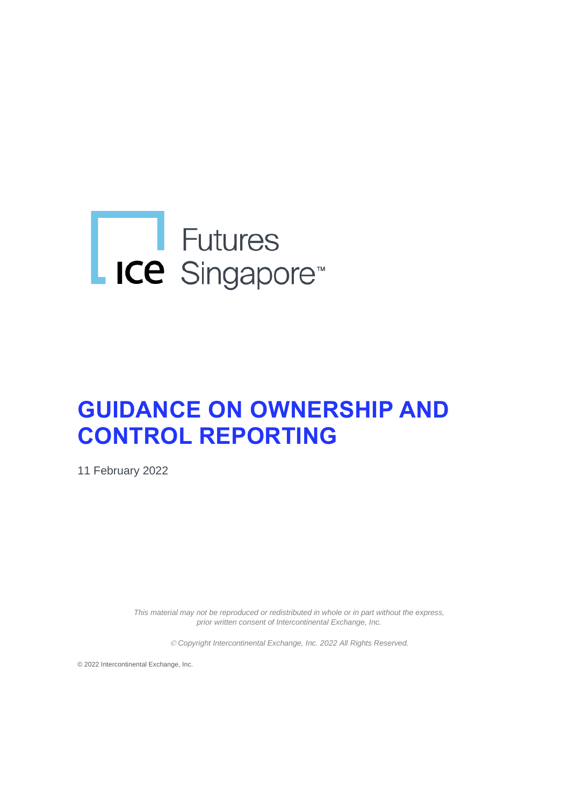# Eutures<br>
ICE Singapore<sup>®</sup>

# **GUIDANCE ON OWNERSHIP AND CONTROL REPORTING**

11 February 2022

*This material may not be reproduced or redistributed in whole or in part without the express, prior written consent of Intercontinental Exchange, Inc.* 

© *Copyright Intercontinental Exchange, Inc. 2022 All Rights Reserved.* 

© 2022 Intercontinental Exchange, Inc.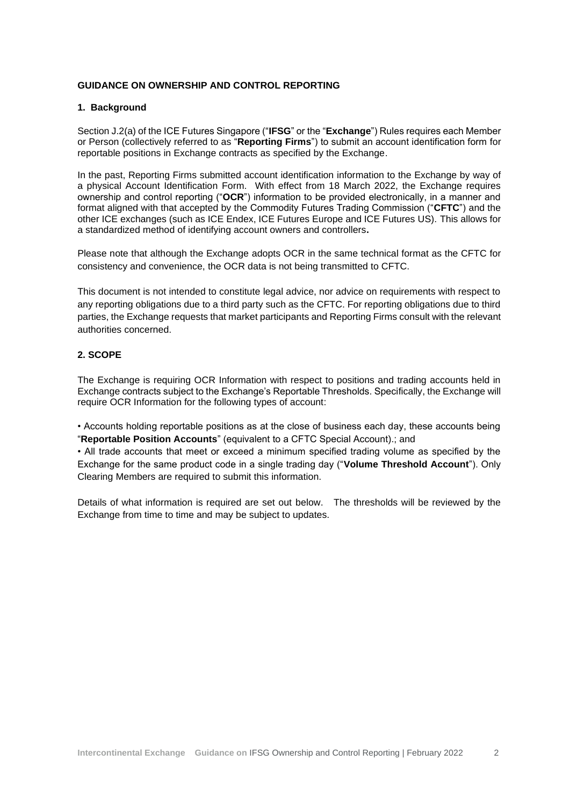# **GUIDANCE ON OWNERSHIP AND CONTROL REPORTING**

#### **1. Background**

Section J.2(a) of the ICE Futures Singapore ("**IFSG**" or the "**Exchange**") Rules requires each Member or Person (collectively referred to as "**Reporting Firms**") to submit an account identification form for reportable positions in Exchange contracts as specified by the Exchange.

In the past, Reporting Firms submitted account identification information to the Exchange by way of a physical Account Identification Form. With effect from 18 March 2022, the Exchange requires ownership and control reporting ("**OCR**") information to be provided electronically, in a manner and format aligned with that accepted by the Commodity Futures Trading Commission ("**CFTC**") and the other ICE exchanges (such as ICE Endex, ICE Futures Europe and ICE Futures US). This allows for a standardized method of identifying account owners and controllers**.**

Please note that although the Exchange adopts OCR in the same technical format as the CFTC for consistency and convenience, the OCR data is not being transmitted to CFTC.

This document is not intended to constitute legal advice, nor advice on requirements with respect to any reporting obligations due to a third party such as the CFTC. For reporting obligations due to third parties, the Exchange requests that market participants and Reporting Firms consult with the relevant authorities concerned.

# **2. SCOPE**

The Exchange is requiring OCR Information with respect to positions and trading accounts held in Exchange contracts subject to the Exchange's Reportable Thresholds. Specifically, the Exchange will require OCR Information for the following types of account:

• Accounts holding reportable positions as at the close of business each day, these accounts being "**Reportable Position Accounts**" (equivalent to a CFTC Special Account).; and

• All trade accounts that meet or exceed a minimum specified trading volume as specified by the Exchange for the same product code in a single trading day ("**Volume Threshold Account**"). Only Clearing Members are required to submit this information.

Details of what information is required are set out below. The thresholds will be reviewed by the Exchange from time to time and may be subject to updates.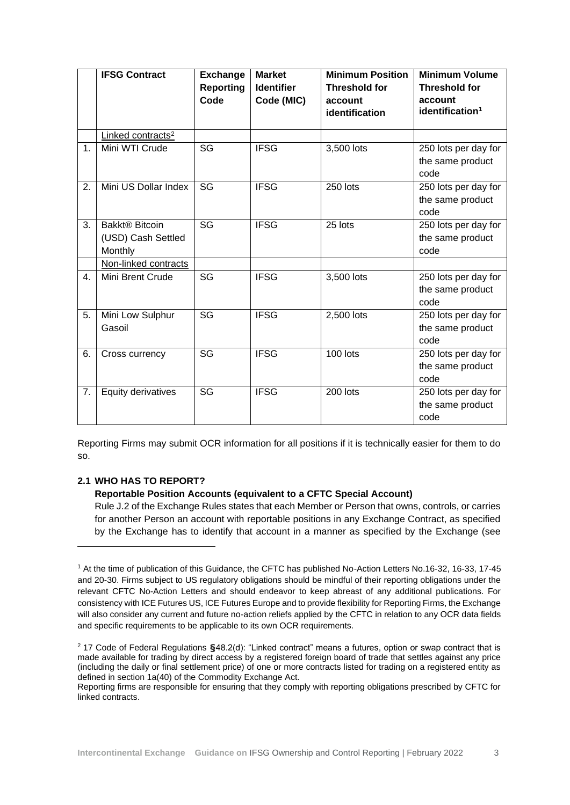|    | <b>IFSG Contract</b>                                        | <b>Exchange</b><br><b>Reporting</b><br>Code | <b>Market</b><br><b>Identifier</b><br>Code (MIC) | <b>Minimum Position</b><br><b>Threshold for</b><br>account<br>identification | <b>Minimum Volume</b><br><b>Threshold for</b><br>account<br>identification <sup>1</sup> |
|----|-------------------------------------------------------------|---------------------------------------------|--------------------------------------------------|------------------------------------------------------------------------------|-----------------------------------------------------------------------------------------|
|    | Linked contracts <sup>2</sup>                               |                                             |                                                  |                                                                              |                                                                                         |
| 1. | Mini WTI Crude                                              | SG                                          | <b>IFSG</b>                                      | 3,500 lots                                                                   | 250 lots per day for<br>the same product<br>code                                        |
| 2. | Mini US Dollar Index                                        | SG                                          | <b>IFSG</b>                                      | 250 lots                                                                     | 250 lots per day for<br>the same product<br>code                                        |
| 3. | Bakkt <sup>®</sup> Bitcoin<br>(USD) Cash Settled<br>Monthly | SG                                          | <b>IFSG</b>                                      | 25 lots                                                                      | 250 lots per day for<br>the same product<br>code                                        |
|    | Non-linked contracts                                        |                                             |                                                  |                                                                              |                                                                                         |
| 4. | Mini Brent Crude                                            | SG                                          | <b>IFSG</b>                                      | 3,500 lots                                                                   | 250 lots per day for<br>the same product<br>code                                        |
| 5. | Mini Low Sulphur<br>Gasoil                                  | SG                                          | <b>IFSG</b>                                      | 2,500 lots                                                                   | 250 lots per day for<br>the same product<br>code                                        |
| 6. | Cross currency                                              | SG                                          | <b>IFSG</b>                                      | 100 lots                                                                     | 250 lots per day for<br>the same product<br>code                                        |
| 7. | Equity derivatives                                          | $\overline{\text{SG}}$                      | <b>IFSG</b>                                      | 200 lots                                                                     | 250 lots per day for<br>the same product<br>code                                        |

Reporting Firms may submit OCR information for all positions if it is technically easier for them to do so.

# **2.1 WHO HAS TO REPORT?**

# **Reportable Position Accounts (equivalent to a CFTC Special Account)**

Rule J.2 of the Exchange Rules states that each Member or Person that owns, controls, or carries for another Person an account with reportable positions in any Exchange Contract, as specified by the Exchange has to identify that account in a manner as specified by the Exchange (see

<sup>1</sup> At the time of publication of this Guidance, the CFTC has published No-Action Letters No.16-32, 16-33, 17-45 and 20-30. Firms subject to US regulatory obligations should be mindful of their reporting obligations under the relevant CFTC No-Action Letters and should endeavor to keep abreast of any additional publications. For consistency with ICE Futures US, ICE Futures Europe and to provide flexibility for Reporting Firms, the Exchange will also consider any current and future no-action reliefs applied by the CFTC in relation to any OCR data fields and specific requirements to be applicable to its own OCR requirements.

<sup>2</sup> 17 Code of Federal Regulations **§**48.2(d): "Linked contract" means a futures, option or swap contract that is made available for trading by direct access by a registered foreign board of trade that settles against any price (including the daily or final settlement price) of one or more contracts listed for trading on a registered entity as defined in section 1a(40) of the Commodity Exchange Act.

Reporting firms are responsible for ensuring that they comply with reporting obligations prescribed by CFTC for linked contracts.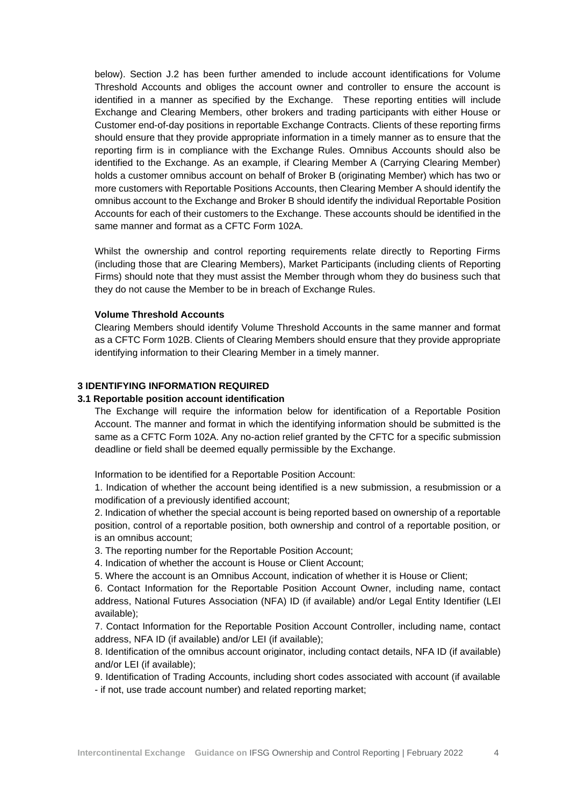below). Section J.2 has been further amended to include account identifications for Volume Threshold Accounts and obliges the account owner and controller to ensure the account is identified in a manner as specified by the Exchange. These reporting entities will include Exchange and Clearing Members, other brokers and trading participants with either House or Customer end-of-day positions in reportable Exchange Contracts. Clients of these reporting firms should ensure that they provide appropriate information in a timely manner as to ensure that the reporting firm is in compliance with the Exchange Rules. Omnibus Accounts should also be identified to the Exchange. As an example, if Clearing Member A (Carrying Clearing Member) holds a customer omnibus account on behalf of Broker B (originating Member) which has two or more customers with Reportable Positions Accounts, then Clearing Member A should identify the omnibus account to the Exchange and Broker B should identify the individual Reportable Position Accounts for each of their customers to the Exchange. These accounts should be identified in the same manner and format as a CFTC Form 102A.

Whilst the ownership and control reporting requirements relate directly to Reporting Firms (including those that are Clearing Members), Market Participants (including clients of Reporting Firms) should note that they must assist the Member through whom they do business such that they do not cause the Member to be in breach of Exchange Rules.

#### **Volume Threshold Accounts**

Clearing Members should identify Volume Threshold Accounts in the same manner and format as a CFTC Form 102B. Clients of Clearing Members should ensure that they provide appropriate identifying information to their Clearing Member in a timely manner.

# **3 IDENTIFYING INFORMATION REQUIRED**

#### **3.1 Reportable position account identification**

The Exchange will require the information below for identification of a Reportable Position Account. The manner and format in which the identifying information should be submitted is the same as a CFTC Form 102A. Any no-action relief granted by the CFTC for a specific submission deadline or field shall be deemed equally permissible by the Exchange.

Information to be identified for a Reportable Position Account:

1. Indication of whether the account being identified is a new submission, a resubmission or a modification of a previously identified account;

2. Indication of whether the special account is being reported based on ownership of a reportable position, control of a reportable position, both ownership and control of a reportable position, or is an omnibus account;

3. The reporting number for the Reportable Position Account;

4. Indication of whether the account is House or Client Account;

5. Where the account is an Omnibus Account, indication of whether it is House or Client;

6. Contact Information for the Reportable Position Account Owner, including name, contact address, National Futures Association (NFA) ID (if available) and/or Legal Entity Identifier (LEI available);

7. Contact Information for the Reportable Position Account Controller, including name, contact address, NFA ID (if available) and/or LEI (if available);

8. Identification of the omnibus account originator, including contact details, NFA ID (if available) and/or LEI (if available);

9. Identification of Trading Accounts, including short codes associated with account (if available - if not, use trade account number) and related reporting market;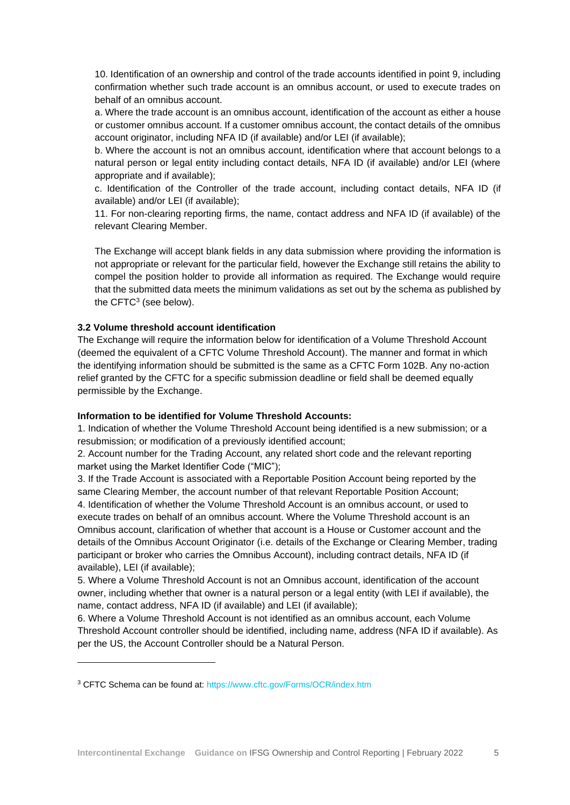10. Identification of an ownership and control of the trade accounts identified in point 9, including confirmation whether such trade account is an omnibus account, or used to execute trades on behalf of an omnibus account.

a. Where the trade account is an omnibus account, identification of the account as either a house or customer omnibus account. If a customer omnibus account, the contact details of the omnibus account originator, including NFA ID (if available) and/or LEI (if available);

b. Where the account is not an omnibus account, identification where that account belongs to a natural person or legal entity including contact details, NFA ID (if available) and/or LEI (where appropriate and if available);

c. Identification of the Controller of the trade account, including contact details, NFA ID (if available) and/or LEI (if available);

11. For non-clearing reporting firms, the name, contact address and NFA ID (if available) of the relevant Clearing Member.

The Exchange will accept blank fields in any data submission where providing the information is not appropriate or relevant for the particular field, however the Exchange still retains the ability to compel the position holder to provide all information as required. The Exchange would require that the submitted data meets the minimum validations as set out by the schema as published by the CFTC<sup>3</sup> (see below).

## **3.2 Volume threshold account identification**

The Exchange will require the information below for identification of a Volume Threshold Account (deemed the equivalent of a CFTC Volume Threshold Account). The manner and format in which the identifying information should be submitted is the same as a CFTC Form 102B. Any no-action relief granted by the CFTC for a specific submission deadline or field shall be deemed equally permissible by the Exchange.

#### **Information to be identified for Volume Threshold Accounts:**

1. Indication of whether the Volume Threshold Account being identified is a new submission; or a resubmission; or modification of a previously identified account;

2. Account number for the Trading Account, any related short code and the relevant reporting market using the Market Identifier Code ("MIC");

3. If the Trade Account is associated with a Reportable Position Account being reported by the same Clearing Member, the account number of that relevant Reportable Position Account; 4. Identification of whether the Volume Threshold Account is an omnibus account, or used to execute trades on behalf of an omnibus account. Where the Volume Threshold account is an Omnibus account, clarification of whether that account is a House or Customer account and the details of the Omnibus Account Originator (i.e. details of the Exchange or Clearing Member, trading participant or broker who carries the Omnibus Account), including contract details, NFA ID (if available), LEI (if available);

5. Where a Volume Threshold Account is not an Omnibus account, identification of the account owner, including whether that owner is a natural person or a legal entity (with LEI if available), the name, contact address, NFA ID (if available) and LEI (if available);

6. Where a Volume Threshold Account is not identified as an omnibus account, each Volume Threshold Account controller should be identified, including name, address (NFA ID if available). As per the US, the Account Controller should be a Natural Person.

<sup>3</sup> CFTC Schema can be found at:<https://www.cftc.gov/Forms/OCR/index.htm>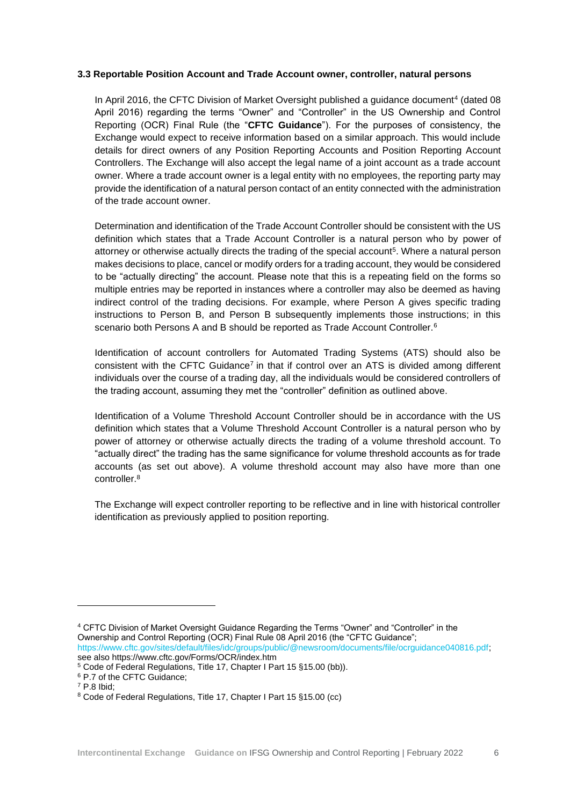## **3.3 Reportable Position Account and Trade Account owner, controller, natural persons**

In April 2016, the CFTC Division of Market Oversight published a guidance document<sup>4</sup> (dated 08 April 2016) regarding the terms "Owner" and "Controller" in the US Ownership and Control Reporting (OCR) Final Rule (the "**CFTC Guidance**"). For the purposes of consistency, the Exchange would expect to receive information based on a similar approach. This would include details for direct owners of any Position Reporting Accounts and Position Reporting Account Controllers. The Exchange will also accept the legal name of a joint account as a trade account owner. Where a trade account owner is a legal entity with no employees, the reporting party may provide the identification of a natural person contact of an entity connected with the administration of the trade account owner.

Determination and identification of the Trade Account Controller should be consistent with the US definition which states that a Trade Account Controller is a natural person who by power of attorney or otherwise actually directs the trading of the special account<sup>5</sup>. Where a natural person makes decisions to place, cancel or modify orders for a trading account, they would be considered to be "actually directing" the account. Please note that this is a repeating field on the forms so multiple entries may be reported in instances where a controller may also be deemed as having indirect control of the trading decisions. For example, where Person A gives specific trading instructions to Person B, and Person B subsequently implements those instructions; in this scenario both Persons A and B should be reported as Trade Account Controller.<sup>6</sup>

Identification of account controllers for Automated Trading Systems (ATS) should also be consistent with the CFTC Guidance<sup>7</sup> in that if control over an ATS is divided among different individuals over the course of a trading day, all the individuals would be considered controllers of the trading account, assuming they met the "controller" definition as outlined above.

Identification of a Volume Threshold Account Controller should be in accordance with the US definition which states that a Volume Threshold Account Controller is a natural person who by power of attorney or otherwise actually directs the trading of a volume threshold account. To "actually direct" the trading has the same significance for volume threshold accounts as for trade accounts (as set out above). A volume threshold account may also have more than one controller.<sup>8</sup>

The Exchange will expect controller reporting to be reflective and in line with historical controller identification as previously applied to position reporting.

<sup>4</sup> CFTC Division of Market Oversight Guidance Regarding the Terms "Owner" and "Controller" in the Ownership and Control Reporting (OCR) Final Rule 08 April 2016 (the "CFTC Guidance"; [https://www.cftc.gov/sites/default/files/idc/groups/public/@newsroom/documents/file/ocrguidance040816.pdf;](https://www.cftc.gov/sites/default/files/idc/groups/public/@newsroom/documents/file/ocrguidance040816.pdf) see also https://www.cftc.gov/Forms/OCR/index.htm

- <sup>5</sup> Code of Federal Regulations, Title 17, Chapter I Part 15 §15.00 (bb)).
- <sup>6</sup> P.7 of the CFTC Guidance;
- $7$  P.8 Ibid:

<sup>8</sup> Code of Federal Regulations, Title 17, Chapter I Part 15 §15.00 (cc)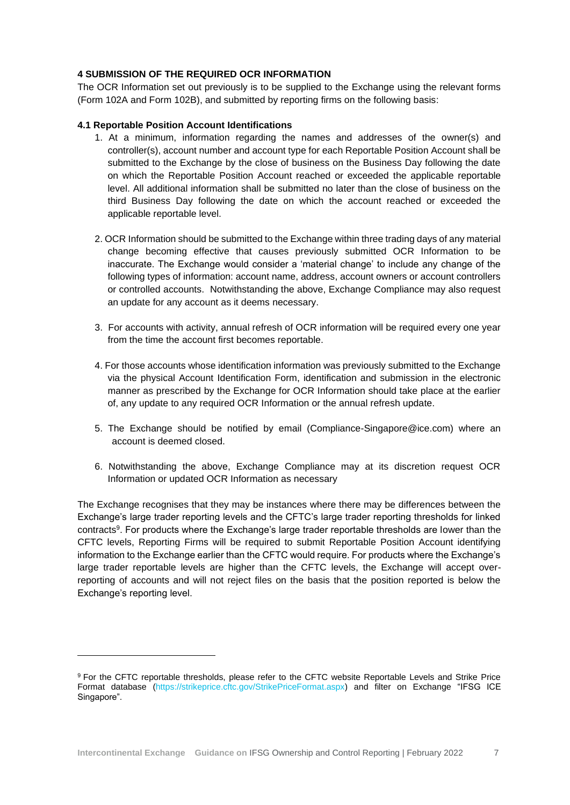## **4 SUBMISSION OF THE REQUIRED OCR INFORMATION**

The OCR Information set out previously is to be supplied to the Exchange using the relevant forms (Form 102A and Form 102B), and submitted by reporting firms on the following basis:

## **4.1 Reportable Position Account Identifications**

- 1. At a minimum, information regarding the names and addresses of the owner(s) and controller(s), account number and account type for each Reportable Position Account shall be submitted to the Exchange by the close of business on the Business Day following the date on which the Reportable Position Account reached or exceeded the applicable reportable level. All additional information shall be submitted no later than the close of business on the third Business Day following the date on which the account reached or exceeded the applicable reportable level.
- 2. OCR Information should be submitted to the Exchange within three trading days of any material change becoming effective that causes previously submitted OCR Information to be inaccurate. The Exchange would consider a 'material change' to include any change of the following types of information: account name, address, account owners or account controllers or controlled accounts. Notwithstanding the above, Exchange Compliance may also request an update for any account as it deems necessary.
- 3. For accounts with activity, annual refresh of OCR information will be required every one year from the time the account first becomes reportable.
- 4. For those accounts whose identification information was previously submitted to the Exchange via the physical Account Identification Form, identification and submission in the electronic manner as prescribed by the Exchange for OCR Information should take place at the earlier of, any update to any required OCR Information or the annual refresh update.
- 5. The Exchange should be notified by email (Compliance-Singapore@ice.com) where an account is deemed closed.
- 6. Notwithstanding the above, Exchange Compliance may at its discretion request OCR Information or updated OCR Information as necessary

The Exchange recognises that they may be instances where there may be differences between the Exchange's large trader reporting levels and the CFTC's large trader reporting thresholds for linked contracts<sup>9</sup>. For products where the Exchange's large trader reportable thresholds are lower than the CFTC levels, Reporting Firms will be required to submit Reportable Position Account identifying information to the Exchange earlier than the CFTC would require. For products where the Exchange's large trader reportable levels are higher than the CFTC levels, the Exchange will accept overreporting of accounts and will not reject files on the basis that the position reported is below the Exchange's reporting level.

<sup>9</sup> For the CFTC reportable thresholds, please refer to the CFTC website Reportable Levels and Strike Price Format database [\(https://strikeprice.cftc.gov/StrikePriceFormat.aspx\)](https://strikeprice.cftc.gov/StrikePriceFormat.aspx) and filter on Exchange "IFSG ICE Singapore".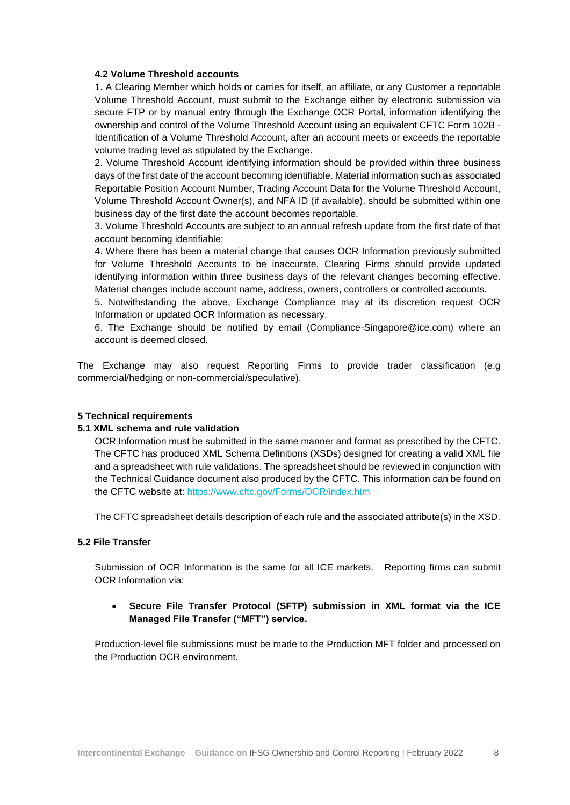#### **4.2 Volume Threshold accounts**

1. A Clearing Member which holds or carries for itself, an affiliate, or any Customer a reportable Volume Threshold Account, must submit to the Exchange either by electronic submission via secure FTP or by manual entry through the Exchange OCR Portal, information identifying the ownership and control of the Volume Threshold Account using an equivalent CFTC Form 102B - Identification of a Volume Threshold Account, after an account meets or exceeds the reportable volume trading level as stipulated by the Exchange.

2. Volume Threshold Account identifying information should be provided within three business days of the first date of the account becoming identifiable. Material information such as associated Reportable Position Account Number, Trading Account Data for the Volume Threshold Account, Volume Threshold Account Owner(s), and NFA ID (if available), should be submitted within one business day of the first date the account becomes reportable.

3. Volume Threshold Accounts are subject to an annual refresh update from the first date of that account becoming identifiable;

4. Where there has been a material change that causes OCR Information previously submitted for Volume Threshold Accounts to be inaccurate, Clearing Firms should provide updated identifying information within three business days of the relevant changes becoming effective. Material changes include account name, address, owners, controllers or controlled accounts.

5. Notwithstanding the above, Exchange Compliance may at its discretion request OCR Information or updated OCR Information as necessary.

6. The Exchange should be notified by email (Compliance-Singapore@ice.com) where an account is deemed closed.

The Exchange may also request Reporting Firms to provide trader classification (e.g commercial/hedging or non-commercial/speculative).

#### **5 Technical requirements**

#### **5.1 XML schema and rule validation**

OCR Information must be submitted in the same manner and format as prescribed by the CFTC. The CFTC has produced XML Schema Definitions (XSDs) designed for creating a valid XML file and a spreadsheet with rule validations. The spreadsheet should be reviewed in conjunction with the Technical Guidance document also produced by the CFTC. This information can be found on the CFTC website at:<https://www.cftc.gov/Forms/OCR/index.htm>

The CFTC spreadsheet details description of each rule and the associated attribute(s) in the XSD.

#### **5.2 File Transfer**

Submission of OCR Information is the same for all ICE markets. Reporting firms can submit OCR Information via:

# • **Secure File Transfer Protocol (SFTP) submission in XML format via the ICE Managed File Transfer ("MFT") service.**

Production-level file submissions must be made to the Production MFT folder and processed on the Production OCR environment.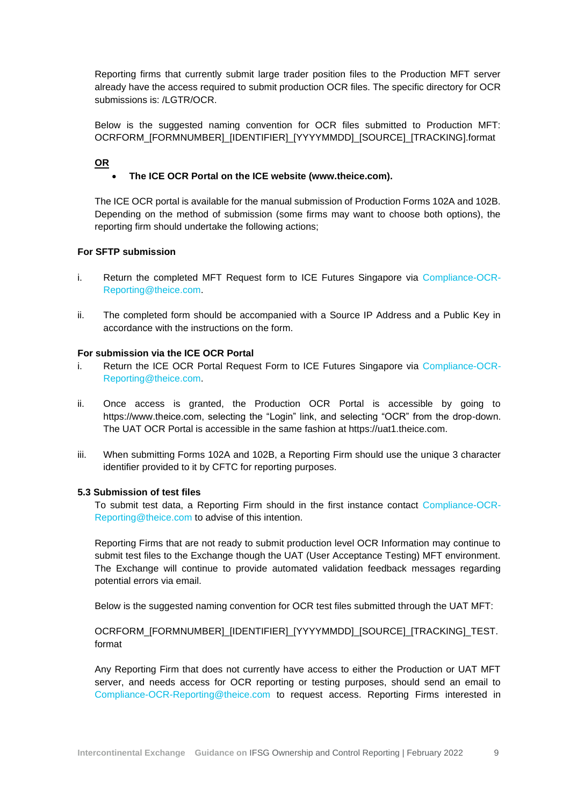Reporting firms that currently submit large trader position files to the Production MFT server already have the access required to submit production OCR files. The specific directory for OCR submissions is: /LGTR/OCR.

Below is the suggested naming convention for OCR files submitted to Production MFT: OCRFORM\_[FORMNUMBER]\_[IDENTIFIER]\_[YYYYMMDD]\_[SOURCE]\_[TRACKING].format

**OR**

# • **The ICE OCR Portal on the ICE website (www.theice.com).**

The ICE OCR portal is available for the manual submission of Production Forms 102A and 102B. Depending on the method of submission (some firms may want to choose both options), the reporting firm should undertake the following actions;

## **For SFTP submission**

- i. Return the completed MFT Request form to ICE Futures Singapore via [Compliance-OCR-](mailto:Compliance-OCR-Reporting@theice.com)[Reporting@theice.com.](mailto:Compliance-OCR-Reporting@theice.com)
- ii. The completed form should be accompanied with a Source IP Address and a Public Key in accordance with the instructions on the form.

# **For submission via the ICE OCR Portal**

- i. Return the ICE OCR Portal Request Form to ICE Futures Singapore via [Compliance-OCR-](mailto:Compliance-OCR-Reporting@theice.com)[Reporting@theice.com.](mailto:Compliance-OCR-Reporting@theice.com)
- ii. Once access is granted, the Production OCR Portal is accessible by going to https://www.theice.com, selecting the "Login" link, and selecting "OCR" from the drop-down. The UAT OCR Portal is accessible in the same fashion at https://uat1.theice.com.
- iii. When submitting Forms 102A and 102B, a Reporting Firm should use the unique 3 character identifier provided to it by CFTC for reporting purposes.

#### **5.3 Submission of test files**

To submit test data, a Reporting Firm should in the first instance contact [Compliance-OCR-](mailto:Compliance-OCR-Reporting@theice.com)[Reporting@theice.com](mailto:Compliance-OCR-Reporting@theice.com) to advise of this intention.

Reporting Firms that are not ready to submit production level OCR Information may continue to submit test files to the Exchange though the UAT (User Acceptance Testing) MFT environment. The Exchange will continue to provide automated validation feedback messages regarding potential errors via email.

Below is the suggested naming convention for OCR test files submitted through the UAT MFT:

# OCRFORM\_[FORMNUMBER]\_[IDENTIFIER]\_[YYYYMMDD]\_[SOURCE]\_[TRACKING]\_TEST. format

Any Reporting Firm that does not currently have access to either the Production or UAT MFT server, and needs access for OCR reporting or testing purposes, should send an email to [Compliance-OCR-Reporting@theice.com](mailto:Compliance-OCR-Reporting@theice.com) to request access. Reporting Firms interested in